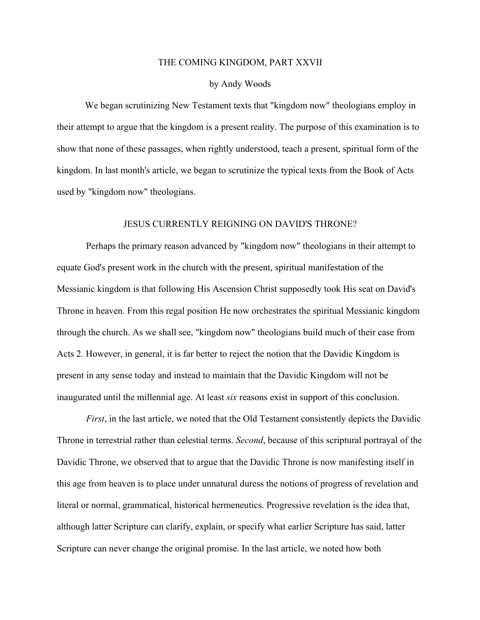## THE COMING KINGDOM, PART XXVII

## by Andy Woods

We began scrutinizing New Testament texts that "kingdom now" theologians employ in their attempt to argue that the kingdom is a present reality. The purpose of this examination is to show that none of these passages, when rightly understood, teach a present, spiritual form of the kingdom. In last month's article, we began to scrutinize the typical texts from the Book of Acts used by "kingdom now" theologians.

## JESUS CURRENTLY REIGNING ON DAVID'S THRONE?

Perhaps the primary reason advanced by "kingdom now" theologians in their attempt to equate God's present work in the church with the present, spiritual manifestation of the Messianic kingdom is that following His Ascension Christ supposedly took His seat on David's Throne in heaven. From this regal position He now orchestrates the spiritual Messianic kingdom through the church. As we shall see, "kingdom now" theologians build much of their case from Acts 2. However, in general, it is far better to reject the notion that the Davidic Kingdom is present in any sense today and instead to maintain that the Davidic Kingdom will not be inaugurated until the millennial age. At least *six* reasons exist in support of this conclusion.

*First*, in the last article, we noted that the Old Testament consistently depicts the Davidic Throne in terrestrial rather than celestial terms. *Second*, because of this scriptural portrayal of the Davidic Throne, we observed that to argue that the Davidic Throne is now manifesting itself in this age from heaven is to place under unnatural duress the notions of progress of revelation and literal or normal, grammatical, historical hermeneutics. Progressive revelation is the idea that, although latter Scripture can clarify, explain, or specify what earlier Scripture has said, latter Scripture can never change the original promise. In the last article, we noted how both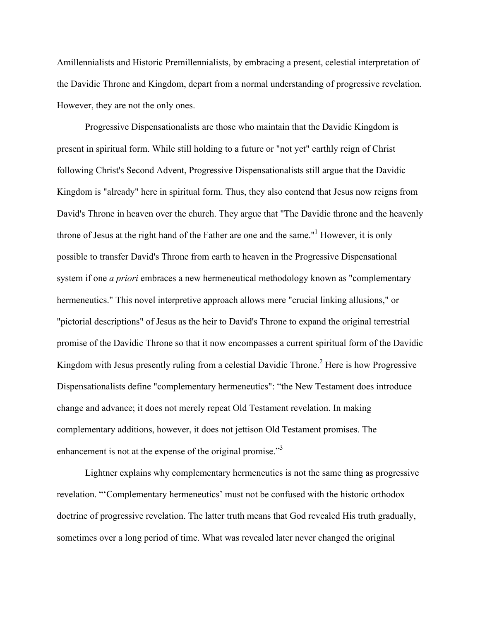Amillennialists and Historic Premillennialists, by embracing a present, celestial interpretation of the Davidic Throne and Kingdom, depart from a normal understanding of progressive revelation. However, they are not the only ones.

Progressive Dispensationalists are those who maintain that the Davidic Kingdom is present in spiritual form. While still holding to a future or "not yet" earthly reign of Christ following Christ's Second Advent, Progressive Dispensationalists still argue that the Davidic Kingdom is "already" here in spiritual form. Thus, they also contend that Jesus now reigns from David's Throne in heaven over the church. They argue that "The Davidic throne and the heavenly throne of Jesus at the right hand of the Father are one and the same."<sup>1</sup> However, it is only possible to transfer David's Throne from earth to heaven in the Progressive Dispensational system if one *a priori* embraces a new hermeneutical methodology known as "complementary hermeneutics." This novel interpretive approach allows mere "crucial linking allusions," or "pictorial descriptions" of Jesus as the heir to David's Throne to expand the original terrestrial promise of the Davidic Throne so that it now encompasses a current spiritual form of the Davidic Kingdom with Jesus presently ruling from a celestial Davidic Throne.<sup>2</sup> Here is how Progressive Dispensationalists define "complementary hermeneutics": "the New Testament does introduce change and advance; it does not merely repeat Old Testament revelation. In making complementary additions, however, it does not jettison Old Testament promises. The enhancement is not at the expense of the original promise."<sup>3</sup>

Lightner explains why complementary hermeneutics is not the same thing as progressive revelation. "'Complementary hermeneutics' must not be confused with the historic orthodox doctrine of progressive revelation. The latter truth means that God revealed His truth gradually, sometimes over a long period of time. What was revealed later never changed the original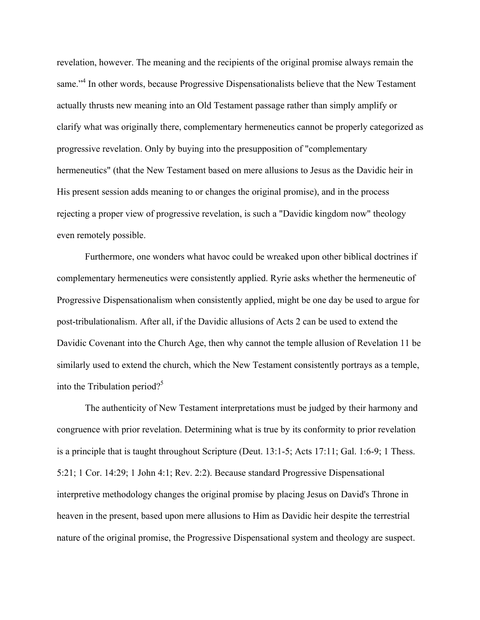revelation, however. The meaning and the recipients of the original promise always remain the same."<sup>4</sup> In other words, because Progressive Dispensationalists believe that the New Testament actually thrusts new meaning into an Old Testament passage rather than simply amplify or clarify what was originally there, complementary hermeneutics cannot be properly categorized as progressive revelation. Only by buying into the presupposition of "complementary hermeneutics" (that the New Testament based on mere allusions to Jesus as the Davidic heir in His present session adds meaning to or changes the original promise), and in the process rejecting a proper view of progressive revelation, is such a "Davidic kingdom now" theology even remotely possible.

Furthermore, one wonders what havoc could be wreaked upon other biblical doctrines if complementary hermeneutics were consistently applied. Ryrie asks whether the hermeneutic of Progressive Dispensationalism when consistently applied, might be one day be used to argue for post-tribulationalism. After all, if the Davidic allusions of Acts 2 can be used to extend the Davidic Covenant into the Church Age, then why cannot the temple allusion of Revelation 11 be similarly used to extend the church, which the New Testament consistently portrays as a temple, into the Tribulation period? $5^5$ 

The authenticity of New Testament interpretations must be judged by their harmony and congruence with prior revelation. Determining what is true by its conformity to prior revelation is a principle that is taught throughout Scripture (Deut. 13:1-5; Acts 17:11; Gal. 1:6-9; 1 Thess. 5:21; 1 Cor. 14:29; 1 John 4:1; Rev. 2:2). Because standard Progressive Dispensational interpretive methodology changes the original promise by placing Jesus on David's Throne in heaven in the present, based upon mere allusions to Him as Davidic heir despite the terrestrial nature of the original promise, the Progressive Dispensational system and theology are suspect.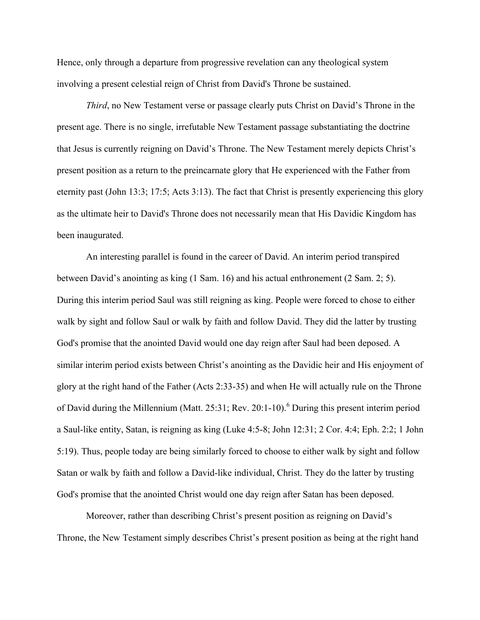Hence, only through a departure from progressive revelation can any theological system involving a present celestial reign of Christ from David's Throne be sustained.

*Third*, no New Testament verse or passage clearly puts Christ on David's Throne in the present age. There is no single, irrefutable New Testament passage substantiating the doctrine that Jesus is currently reigning on David's Throne. The New Testament merely depicts Christ's present position as a return to the preincarnate glory that He experienced with the Father from eternity past (John 13:3; 17:5; Acts 3:13). The fact that Christ is presently experiencing this glory as the ultimate heir to David's Throne does not necessarily mean that His Davidic Kingdom has been inaugurated.

An interesting parallel is found in the career of David. An interim period transpired between David's anointing as king (1 Sam. 16) and his actual enthronement (2 Sam. 2; 5). During this interim period Saul was still reigning as king. People were forced to chose to either walk by sight and follow Saul or walk by faith and follow David. They did the latter by trusting God's promise that the anointed David would one day reign after Saul had been deposed. A similar interim period exists between Christ's anointing as the Davidic heir and His enjoyment of glory at the right hand of the Father (Acts 2:33-35) and when He will actually rule on the Throne of David during the Millennium (Matt. 25:31; Rev. 20:1-10). <sup>6</sup> During this present interim period a Saul-like entity, Satan, is reigning as king (Luke 4:5-8; John 12:31; 2 Cor. 4:4; Eph. 2:2; 1 John 5:19). Thus, people today are being similarly forced to choose to either walk by sight and follow Satan or walk by faith and follow a David-like individual, Christ. They do the latter by trusting God's promise that the anointed Christ would one day reign after Satan has been deposed.

Moreover, rather than describing Christ's present position as reigning on David's Throne, the New Testament simply describes Christ's present position as being at the right hand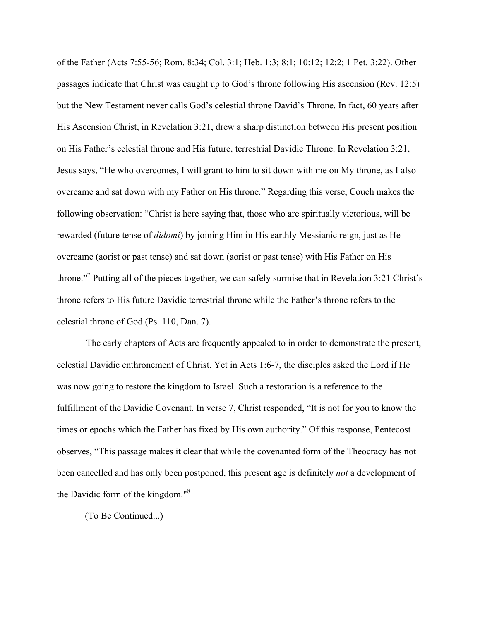of the Father (Acts 7:55-56; Rom. 8:34; Col. 3:1; Heb. 1:3; 8:1; 10:12; 12:2; 1 Pet. 3:22). Other passages indicate that Christ was caught up to God's throne following His ascension (Rev. 12:5) but the New Testament never calls God's celestial throne David's Throne. In fact, 60 years after His Ascension Christ, in Revelation 3:21, drew a sharp distinction between His present position on His Father's celestial throne and His future, terrestrial Davidic Throne. In Revelation 3:21, Jesus says, "He who overcomes, I will grant to him to sit down with me on My throne, as I also overcame and sat down with my Father on His throne." Regarding this verse, Couch makes the following observation: "Christ is here saying that, those who are spiritually victorious, will be rewarded (future tense of *didomi*) by joining Him in His earthly Messianic reign, just as He overcame (aorist or past tense) and sat down (aorist or past tense) with His Father on His throne."7 Putting all of the pieces together, we can safely surmise that in Revelation 3:21 Christ's throne refers to His future Davidic terrestrial throne while the Father's throne refers to the celestial throne of God (Ps. 110, Dan. 7).

The early chapters of Acts are frequently appealed to in order to demonstrate the present, celestial Davidic enthronement of Christ. Yet in Acts 1:6-7, the disciples asked the Lord if He was now going to restore the kingdom to Israel. Such a restoration is a reference to the fulfillment of the Davidic Covenant. In verse 7, Christ responded, "It is not for you to know the times or epochs which the Father has fixed by His own authority." Of this response, Pentecost observes, "This passage makes it clear that while the covenanted form of the Theocracy has not been cancelled and has only been postponed, this present age is definitely *not* a development of the Davidic form of the kingdom."<sup>8</sup>

(To Be Continued...)